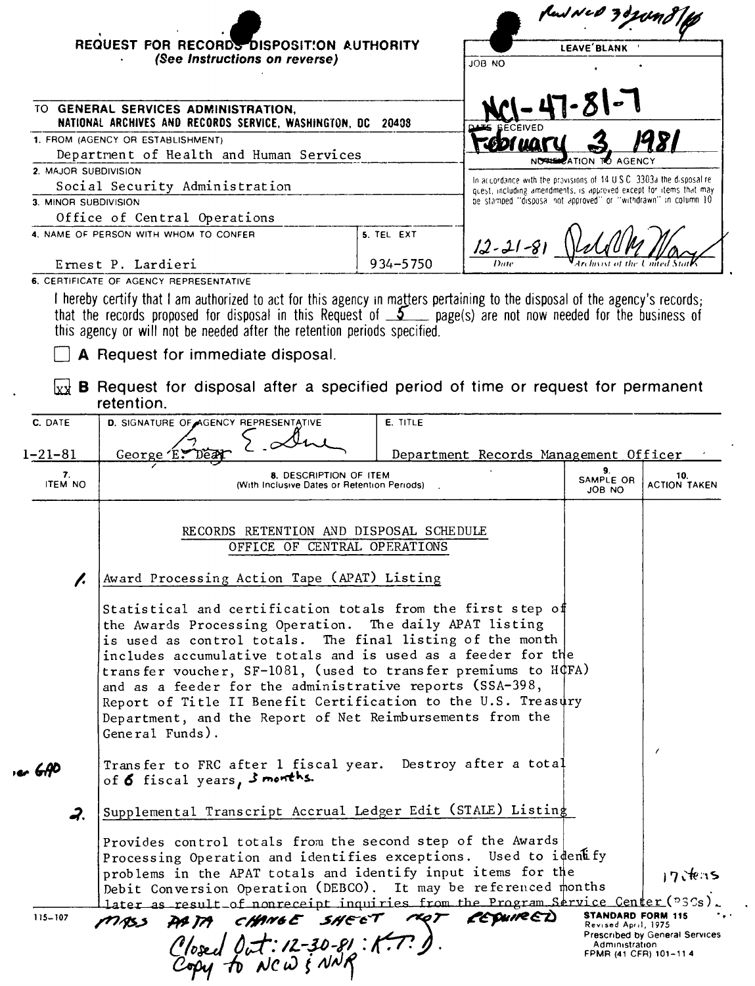|                            | REQUEST FOR RECORDS DISPOSITION AUTHORITY                                                                                                                                                                                                                                                                                                                                                                                                                                                                                                                                                                                                                                                                                                                                                                                                                                                                                                                                                                                                                                                      | partners 30 jund/<br><b>LEAVE BLANK</b><br><b>JOB NO</b><br>20408<br>ZATION<br>In accordance with the provisions of 14 U.S.C. 3303a the disposalire<br>quest, including amendments, is approved except for items that may<br>be stamped "disposal not approved" or "withdrawn" in column 10<br>$12 - 21 - 8$<br>934-5750<br>I hereby certify that I am authorized to act for this agency in matters pertaining to the disposal of the agency's records;<br>that the records proposed for disposal in this Request of $\mathfrak{S}$ page(s) are not now needed for the business of<br><b>B</b> Request for disposal after a specified period of time or request for permanent<br>E. TITLE<br>Department Records Management Officer<br>9.<br>10.<br>SAMPLE OR<br><b>ACTION TAKEN</b><br>JOB NO<br>$\prime$<br>17 tens |                                                                                            |                                |
|----------------------------|------------------------------------------------------------------------------------------------------------------------------------------------------------------------------------------------------------------------------------------------------------------------------------------------------------------------------------------------------------------------------------------------------------------------------------------------------------------------------------------------------------------------------------------------------------------------------------------------------------------------------------------------------------------------------------------------------------------------------------------------------------------------------------------------------------------------------------------------------------------------------------------------------------------------------------------------------------------------------------------------------------------------------------------------------------------------------------------------|----------------------------------------------------------------------------------------------------------------------------------------------------------------------------------------------------------------------------------------------------------------------------------------------------------------------------------------------------------------------------------------------------------------------------------------------------------------------------------------------------------------------------------------------------------------------------------------------------------------------------------------------------------------------------------------------------------------------------------------------------------------------------------------------------------------------|--------------------------------------------------------------------------------------------|--------------------------------|
|                            | (See Instructions on reverse)                                                                                                                                                                                                                                                                                                                                                                                                                                                                                                                                                                                                                                                                                                                                                                                                                                                                                                                                                                                                                                                                  |                                                                                                                                                                                                                                                                                                                                                                                                                                                                                                                                                                                                                                                                                                                                                                                                                      |                                                                                            |                                |
|                            |                                                                                                                                                                                                                                                                                                                                                                                                                                                                                                                                                                                                                                                                                                                                                                                                                                                                                                                                                                                                                                                                                                |                                                                                                                                                                                                                                                                                                                                                                                                                                                                                                                                                                                                                                                                                                                                                                                                                      |                                                                                            |                                |
|                            | TO GENERAL SERVICES ADMINISTRATION,<br>NATIONAL ARCHIVES AND RECORDS SERVICE, WASHINGTON, DC                                                                                                                                                                                                                                                                                                                                                                                                                                                                                                                                                                                                                                                                                                                                                                                                                                                                                                                                                                                                   |                                                                                                                                                                                                                                                                                                                                                                                                                                                                                                                                                                                                                                                                                                                                                                                                                      |                                                                                            |                                |
|                            | 1. FROM (AGENCY OR ESTABLISHMENT)                                                                                                                                                                                                                                                                                                                                                                                                                                                                                                                                                                                                                                                                                                                                                                                                                                                                                                                                                                                                                                                              |                                                                                                                                                                                                                                                                                                                                                                                                                                                                                                                                                                                                                                                                                                                                                                                                                      |                                                                                            |                                |
| 2. MAJOR SUBDIVISION       | Department of Health and Human Services                                                                                                                                                                                                                                                                                                                                                                                                                                                                                                                                                                                                                                                                                                                                                                                                                                                                                                                                                                                                                                                        |                                                                                                                                                                                                                                                                                                                                                                                                                                                                                                                                                                                                                                                                                                                                                                                                                      |                                                                                            |                                |
|                            | Social Security Administration                                                                                                                                                                                                                                                                                                                                                                                                                                                                                                                                                                                                                                                                                                                                                                                                                                                                                                                                                                                                                                                                 |                                                                                                                                                                                                                                                                                                                                                                                                                                                                                                                                                                                                                                                                                                                                                                                                                      |                                                                                            |                                |
| 3. MINOR SUBDIVISION       | Office of Central Operations                                                                                                                                                                                                                                                                                                                                                                                                                                                                                                                                                                                                                                                                                                                                                                                                                                                                                                                                                                                                                                                                   |                                                                                                                                                                                                                                                                                                                                                                                                                                                                                                                                                                                                                                                                                                                                                                                                                      |                                                                                            |                                |
|                            | 4. NAME OF PERSON WITH WHOM TO CONFER                                                                                                                                                                                                                                                                                                                                                                                                                                                                                                                                                                                                                                                                                                                                                                                                                                                                                                                                                                                                                                                          | 5. TEL EXT                                                                                                                                                                                                                                                                                                                                                                                                                                                                                                                                                                                                                                                                                                                                                                                                           |                                                                                            |                                |
|                            | Ernest P. Lardieri                                                                                                                                                                                                                                                                                                                                                                                                                                                                                                                                                                                                                                                                                                                                                                                                                                                                                                                                                                                                                                                                             |                                                                                                                                                                                                                                                                                                                                                                                                                                                                                                                                                                                                                                                                                                                                                                                                                      |                                                                                            |                                |
|                            | 6. CERTIFICATE OF AGENCY REPRESENTATIVE                                                                                                                                                                                                                                                                                                                                                                                                                                                                                                                                                                                                                                                                                                                                                                                                                                                                                                                                                                                                                                                        |                                                                                                                                                                                                                                                                                                                                                                                                                                                                                                                                                                                                                                                                                                                                                                                                                      |                                                                                            |                                |
|                            | this agency or will not be needed after the retention periods specified.<br>A Request for immediate disposal.                                                                                                                                                                                                                                                                                                                                                                                                                                                                                                                                                                                                                                                                                                                                                                                                                                                                                                                                                                                  |                                                                                                                                                                                                                                                                                                                                                                                                                                                                                                                                                                                                                                                                                                                                                                                                                      |                                                                                            |                                |
| lx xl∶                     | retention.                                                                                                                                                                                                                                                                                                                                                                                                                                                                                                                                                                                                                                                                                                                                                                                                                                                                                                                                                                                                                                                                                     |                                                                                                                                                                                                                                                                                                                                                                                                                                                                                                                                                                                                                                                                                                                                                                                                                      |                                                                                            |                                |
| C. DATE                    | D. SIGNATURE OF AGENCY REPRESENTATIVE                                                                                                                                                                                                                                                                                                                                                                                                                                                                                                                                                                                                                                                                                                                                                                                                                                                                                                                                                                                                                                                          |                                                                                                                                                                                                                                                                                                                                                                                                                                                                                                                                                                                                                                                                                                                                                                                                                      |                                                                                            |                                |
| $1 - 21 - 81$              | George E                                                                                                                                                                                                                                                                                                                                                                                                                                                                                                                                                                                                                                                                                                                                                                                                                                                                                                                                                                                                                                                                                       |                                                                                                                                                                                                                                                                                                                                                                                                                                                                                                                                                                                                                                                                                                                                                                                                                      |                                                                                            |                                |
| 7.<br><b>ITEM NO</b>       | 8. DESCRIPTION OF ITEM<br>(With Inclusive Dates or Retention Periods)                                                                                                                                                                                                                                                                                                                                                                                                                                                                                                                                                                                                                                                                                                                                                                                                                                                                                                                                                                                                                          |                                                                                                                                                                                                                                                                                                                                                                                                                                                                                                                                                                                                                                                                                                                                                                                                                      |                                                                                            |                                |
| I.<br>$\epsilon$ 6AD<br>2. | RECORDS RETENTION AND DISPOSAL SCHEDULE<br>OFFICE OF CENTRAL OPERATIONS<br>Award Processing Action Tape (APAT) Listing<br>Statistical and certification totals from the first step of<br>the Awards Processing Operation. The daily APAT listing<br>is used as control totals. The final listing of the month<br>includes accumulative totals and is used as a feeder for the<br>transfer voucher, SF-1081, (used to transfer premiums to HCFA)<br>and as a feeder for the administrative reports (SSA-398,<br>Report of Title II Benefit Certification to the U.S. Treasury<br>Department, and the Report of Net Reimbursements from the<br>General Funds).<br>Transfer to FRC after 1 fiscal year. Destroy after a total<br>of 6 fiscal years, 3 months.<br>Supplemental Transcript Accrual Ledger Edit (STALE) Listing<br>Provides control totals from the second step of the Awards<br>Processing Operation and identifies exceptions. Used to identify<br>problems in the APAT totals and identify input items for the<br>Debit Conversion Operation (DEBCO). It may be referenced months |                                                                                                                                                                                                                                                                                                                                                                                                                                                                                                                                                                                                                                                                                                                                                                                                                      |                                                                                            |                                |
| $115 - 107$                | later as result of nonreceipt inquiries from the Program Service Center (PSCs).<br>PATA CHANGE SHEET MOT REQUIRED<br>mass -<br>Closed Out: 12-30-81: K.T.).                                                                                                                                                                                                                                                                                                                                                                                                                                                                                                                                                                                                                                                                                                                                                                                                                                                                                                                                    |                                                                                                                                                                                                                                                                                                                                                                                                                                                                                                                                                                                                                                                                                                                                                                                                                      | <b>STANDARD FORM 115</b><br>Revised April, 1975<br>Administration<br>FPMR (41 CFR) 101-114 | Prescribed by General Services |

×,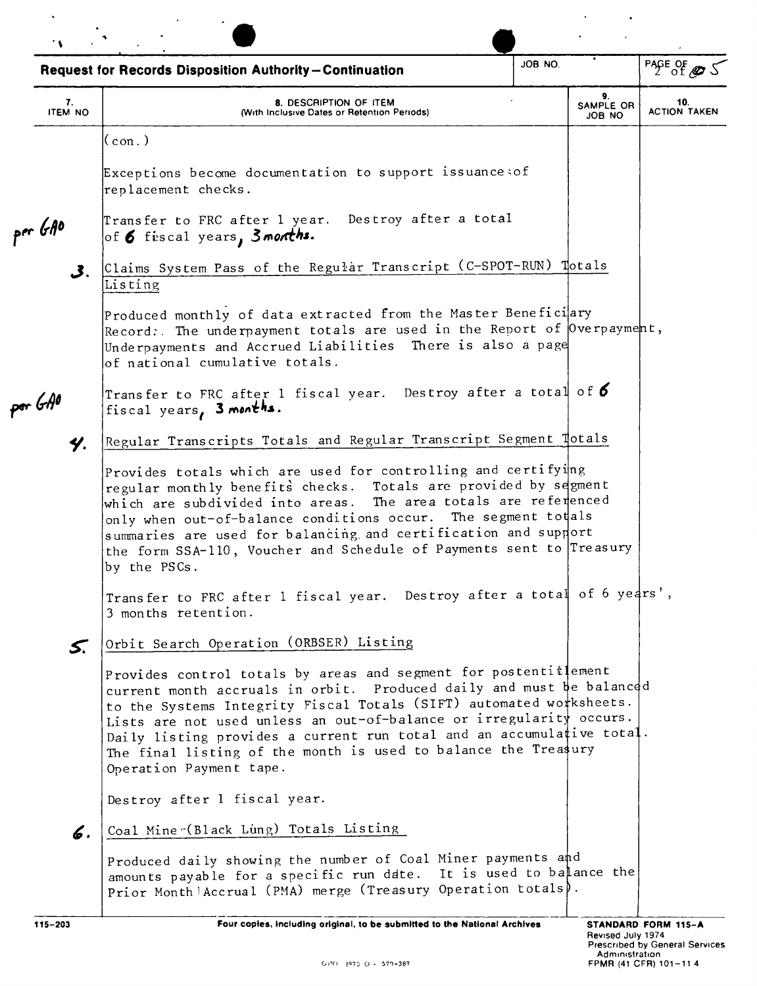|                      | <b>Request for Records Disposition Authority-Continuation</b>                                                                | JOB NO.                                                                                                                                                                                                                                                                                                                                                                                                                                                                                                                                                                                                                                                                                                                                                                                                                                                                                                                                                                                                                                                                                                                                                                                                                                                                      |                           | PAGE OF 5                  |
|----------------------|------------------------------------------------------------------------------------------------------------------------------|------------------------------------------------------------------------------------------------------------------------------------------------------------------------------------------------------------------------------------------------------------------------------------------------------------------------------------------------------------------------------------------------------------------------------------------------------------------------------------------------------------------------------------------------------------------------------------------------------------------------------------------------------------------------------------------------------------------------------------------------------------------------------------------------------------------------------------------------------------------------------------------------------------------------------------------------------------------------------------------------------------------------------------------------------------------------------------------------------------------------------------------------------------------------------------------------------------------------------------------------------------------------------|---------------------------|----------------------------|
| 7.<br><b>ITEM NO</b> | <b>8. DESCRIPTION OF ITEM</b><br>(With Inclusive Dates or Retention Periods)                                                 |                                                                                                                                                                                                                                                                                                                                                                                                                                                                                                                                                                                                                                                                                                                                                                                                                                                                                                                                                                                                                                                                                                                                                                                                                                                                              | 9.<br>SAMPLE OR<br>JOB NO | 10.<br><b>ACTION TAKEN</b> |
|                      | $ (\text{con.}) $                                                                                                            |                                                                                                                                                                                                                                                                                                                                                                                                                                                                                                                                                                                                                                                                                                                                                                                                                                                                                                                                                                                                                                                                                                                                                                                                                                                                              |                           |                            |
|                      | Exceptions become documentation to support issuances of<br>replacement checks.                                               |                                                                                                                                                                                                                                                                                                                                                                                                                                                                                                                                                                                                                                                                                                                                                                                                                                                                                                                                                                                                                                                                                                                                                                                                                                                                              |                           |                            |
| per GAO              | Transfer to FRC after 1 year. Destroy after a total<br>of 6 fiscal years, 3 months.                                          |                                                                                                                                                                                                                                                                                                                                                                                                                                                                                                                                                                                                                                                                                                                                                                                                                                                                                                                                                                                                                                                                                                                                                                                                                                                                              |                           |                            |
| . گ                  | Listing                                                                                                                      | Claims System Pass of the Regular Transcript (C-SPOT-RUN) Totals<br>Produced monthly of data extracted from the Master Benefici $\vert$ ary<br>Record: The underpayment totals are used in the Report of $[0$ verpayment,<br>Transfer to FRC after 1 fiscal year. Destroy after a total of $\delta$<br>Regular Transcripts Totals and Regular Transcript Segment Totals<br>regular monthly benefits checks. Totals are provided by segment<br>The area totals are referenced<br>only when out-of-balance conditions occur. The segment totals<br>summaries are used for balancing and certification and support<br>the form SSA-110, Voucher and Schedule of Payments sent to Treasury<br>Transfer to FRC after 1 fiscal year. Destroy after a total of 6 years',<br>Provides control totals by areas and segment for postentitlement<br>current month accruals in orbit. Produced daily and must be balanced<br>to the Systems Integrity Fiscal Totals (SIFT) automated worksheets.<br>Lists are not used unless an out-of-balance or irregularity occurs.<br>Daily listing provides a current run total and an accumulative total.<br>The final listing of the month is used to balance the Treasury<br>amounts payable for a specific run date. It is used to balance the |                           |                            |
|                      | Underpayments and Accrued Liabilities - There is also a page<br>of national cumulative totals.                               |                                                                                                                                                                                                                                                                                                                                                                                                                                                                                                                                                                                                                                                                                                                                                                                                                                                                                                                                                                                                                                                                                                                                                                                                                                                                              |                           |                            |
| per GAO              | fiscal years, 3 months.                                                                                                      |                                                                                                                                                                                                                                                                                                                                                                                                                                                                                                                                                                                                                                                                                                                                                                                                                                                                                                                                                                                                                                                                                                                                                                                                                                                                              |                           |                            |
| 4.                   |                                                                                                                              |                                                                                                                                                                                                                                                                                                                                                                                                                                                                                                                                                                                                                                                                                                                                                                                                                                                                                                                                                                                                                                                                                                                                                                                                                                                                              |                           |                            |
|                      | Provides totals which are used for controlling and certifying<br>which are subdivided into areas.<br>by the PSCs.            |                                                                                                                                                                                                                                                                                                                                                                                                                                                                                                                                                                                                                                                                                                                                                                                                                                                                                                                                                                                                                                                                                                                                                                                                                                                                              |                           |                            |
|                      | 3 months retention.                                                                                                          |                                                                                                                                                                                                                                                                                                                                                                                                                                                                                                                                                                                                                                                                                                                                                                                                                                                                                                                                                                                                                                                                                                                                                                                                                                                                              |                           |                            |
| $\mathcal{S}$        | Orbit Search Operation (ORBSER) Listing                                                                                      |                                                                                                                                                                                                                                                                                                                                                                                                                                                                                                                                                                                                                                                                                                                                                                                                                                                                                                                                                                                                                                                                                                                                                                                                                                                                              |                           |                            |
|                      | Operation Payment tape.                                                                                                      |                                                                                                                                                                                                                                                                                                                                                                                                                                                                                                                                                                                                                                                                                                                                                                                                                                                                                                                                                                                                                                                                                                                                                                                                                                                                              |                           |                            |
|                      | Destroy after 1 fiscal year.                                                                                                 |                                                                                                                                                                                                                                                                                                                                                                                                                                                                                                                                                                                                                                                                                                                                                                                                                                                                                                                                                                                                                                                                                                                                                                                                                                                                              |                           |                            |
| 6.                   | Coal Mine (Black Lung) Totals Listing                                                                                        |                                                                                                                                                                                                                                                                                                                                                                                                                                                                                                                                                                                                                                                                                                                                                                                                                                                                                                                                                                                                                                                                                                                                                                                                                                                                              |                           |                            |
|                      | Produced daily showing the number of Coal Miner payments and<br>Prior Month Accrual (PMA) merge (Treasury Operation totals). |                                                                                                                                                                                                                                                                                                                                                                                                                                                                                                                                                                                                                                                                                                                                                                                                                                                                                                                                                                                                                                                                                                                                                                                                                                                                              |                           |                            |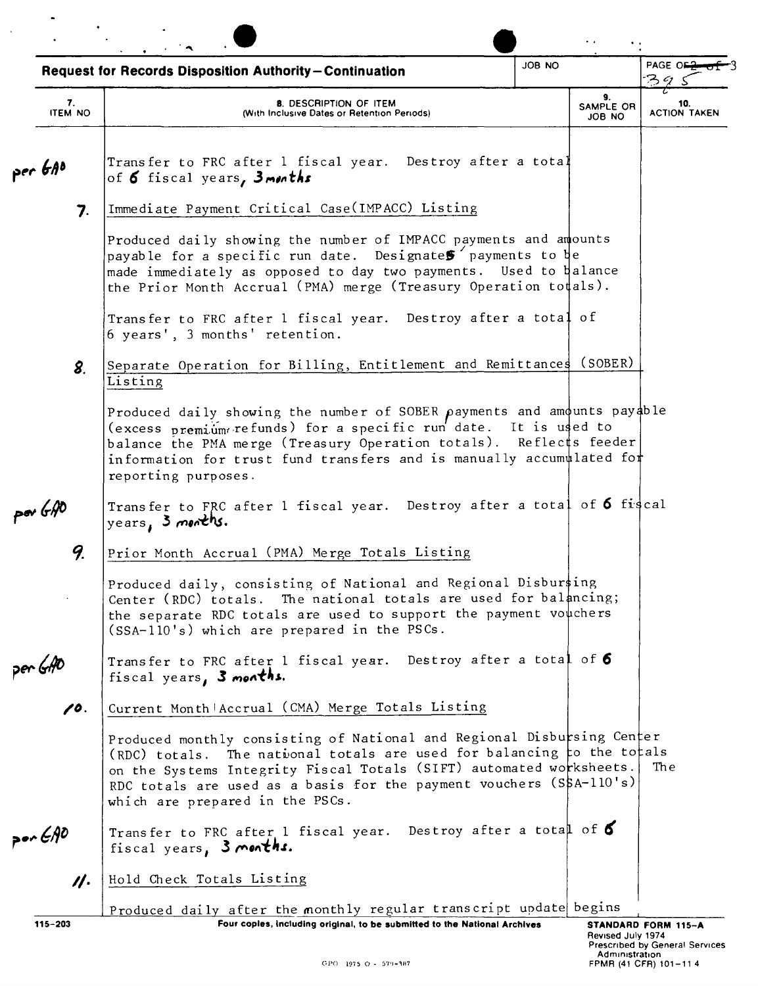| 7.<br><b>ITEM NO</b><br>Transfer to FRC after 1 fiscal year. Destroy after a total<br>per GAO<br>of 6 fiscal years, 3 menths<br>Immediate Payment Critical Case(IMPACC) Listing<br>7.<br>Produced daily showing the number of IMPACC payments and amounts<br>payable for a specific run date. Designates payments to be<br>made immediately as opposed to day two payments. Used to balance<br>the Prior Month Accrual (PMA) merge (Treasury Operation totals).<br>Transfer to FRC after 1 fiscal year. Destroy after a total of<br>6 years', 3 months' retention.<br>Separate Operation for Billing, Entitlement and Remittances (SOBER)<br>8.<br>Listing<br>Produced daily showing the number of SOBER payments and amounts payable<br>(excess premium refunds) for a specific run date. It is used to<br>balance the PMA merge (Treasury Operation totals). Reflects feeder<br>information for trust fund transfers and is manually accumulated for<br>reporting purposes.<br>Transfer to FRC after 1 fiscal year. Destroy after a total of 6 figcal<br>por GAO<br>years, 3 months.<br>9.<br>Prior Month Accrual (PMA) Merge Totals Listing<br>Produced daily, consisting of National and Regional Disbursing<br>Center (RDC) totals. The national totals are used for balancing;<br>the separate RDC totals are used to support the payment vouchers<br>(SSA-110's) which are prepared in the PSCs.<br>Transfer to FRC after 1 fiscal year. Destroy after a total of 6<br>per GAO<br>fiscal years, 3 months.<br>Current Month   Accrual (CMA) Merge Totals Listing<br>10.<br>Produced monthly consisting of National and Regional Disbursing Center<br>(RDC) totals. The national totals are used for balancing to the totals<br>on the Systems Integrity Fiscal Totals (SIFT) automated worksheets.<br>RDC totals are used as a basis for the payment vouchers (S\$A-110's)<br>which are prepared in the PSCs.<br>Transfer to FRC after 1 fiscal year. Destroy after a total of $\delta$<br>$P^{\bullet\star}$ $\epsilon$ AO<br>fiscal years, 3 months. | <b>Request for Records Disposition Authority-Continuation</b>                |  |                           | PAGE OF                          |
|--------------------------------------------------------------------------------------------------------------------------------------------------------------------------------------------------------------------------------------------------------------------------------------------------------------------------------------------------------------------------------------------------------------------------------------------------------------------------------------------------------------------------------------------------------------------------------------------------------------------------------------------------------------------------------------------------------------------------------------------------------------------------------------------------------------------------------------------------------------------------------------------------------------------------------------------------------------------------------------------------------------------------------------------------------------------------------------------------------------------------------------------------------------------------------------------------------------------------------------------------------------------------------------------------------------------------------------------------------------------------------------------------------------------------------------------------------------------------------------------------------------------------------------------------------------------------------------------------------------------------------------------------------------------------------------------------------------------------------------------------------------------------------------------------------------------------------------------------------------------------------------------------------------------------------------------------------------------------------------------------------------------------------------------------------------|------------------------------------------------------------------------------|--|---------------------------|----------------------------------|
|                                                                                                                                                                                                                                                                                                                                                                                                                                                                                                                                                                                                                                                                                                                                                                                                                                                                                                                                                                                                                                                                                                                                                                                                                                                                                                                                                                                                                                                                                                                                                                                                                                                                                                                                                                                                                                                                                                                                                                                                                                                              | <b>8. DESCRIPTION OF ITEM</b><br>(With Inclusive Dates or Retention Periods) |  | 9.<br>SAMPLE OR<br>ON 8OL | 39<br>10.<br><b>ACTION TAKEN</b> |
|                                                                                                                                                                                                                                                                                                                                                                                                                                                                                                                                                                                                                                                                                                                                                                                                                                                                                                                                                                                                                                                                                                                                                                                                                                                                                                                                                                                                                                                                                                                                                                                                                                                                                                                                                                                                                                                                                                                                                                                                                                                              |                                                                              |  |                           |                                  |
|                                                                                                                                                                                                                                                                                                                                                                                                                                                                                                                                                                                                                                                                                                                                                                                                                                                                                                                                                                                                                                                                                                                                                                                                                                                                                                                                                                                                                                                                                                                                                                                                                                                                                                                                                                                                                                                                                                                                                                                                                                                              |                                                                              |  |                           |                                  |
|                                                                                                                                                                                                                                                                                                                                                                                                                                                                                                                                                                                                                                                                                                                                                                                                                                                                                                                                                                                                                                                                                                                                                                                                                                                                                                                                                                                                                                                                                                                                                                                                                                                                                                                                                                                                                                                                                                                                                                                                                                                              |                                                                              |  |                           |                                  |
|                                                                                                                                                                                                                                                                                                                                                                                                                                                                                                                                                                                                                                                                                                                                                                                                                                                                                                                                                                                                                                                                                                                                                                                                                                                                                                                                                                                                                                                                                                                                                                                                                                                                                                                                                                                                                                                                                                                                                                                                                                                              |                                                                              |  |                           |                                  |
|                                                                                                                                                                                                                                                                                                                                                                                                                                                                                                                                                                                                                                                                                                                                                                                                                                                                                                                                                                                                                                                                                                                                                                                                                                                                                                                                                                                                                                                                                                                                                                                                                                                                                                                                                                                                                                                                                                                                                                                                                                                              |                                                                              |  |                           |                                  |
|                                                                                                                                                                                                                                                                                                                                                                                                                                                                                                                                                                                                                                                                                                                                                                                                                                                                                                                                                                                                                                                                                                                                                                                                                                                                                                                                                                                                                                                                                                                                                                                                                                                                                                                                                                                                                                                                                                                                                                                                                                                              |                                                                              |  |                           |                                  |
|                                                                                                                                                                                                                                                                                                                                                                                                                                                                                                                                                                                                                                                                                                                                                                                                                                                                                                                                                                                                                                                                                                                                                                                                                                                                                                                                                                                                                                                                                                                                                                                                                                                                                                                                                                                                                                                                                                                                                                                                                                                              |                                                                              |  |                           |                                  |
|                                                                                                                                                                                                                                                                                                                                                                                                                                                                                                                                                                                                                                                                                                                                                                                                                                                                                                                                                                                                                                                                                                                                                                                                                                                                                                                                                                                                                                                                                                                                                                                                                                                                                                                                                                                                                                                                                                                                                                                                                                                              |                                                                              |  |                           |                                  |
|                                                                                                                                                                                                                                                                                                                                                                                                                                                                                                                                                                                                                                                                                                                                                                                                                                                                                                                                                                                                                                                                                                                                                                                                                                                                                                                                                                                                                                                                                                                                                                                                                                                                                                                                                                                                                                                                                                                                                                                                                                                              |                                                                              |  |                           |                                  |
|                                                                                                                                                                                                                                                                                                                                                                                                                                                                                                                                                                                                                                                                                                                                                                                                                                                                                                                                                                                                                                                                                                                                                                                                                                                                                                                                                                                                                                                                                                                                                                                                                                                                                                                                                                                                                                                                                                                                                                                                                                                              |                                                                              |  |                           |                                  |
|                                                                                                                                                                                                                                                                                                                                                                                                                                                                                                                                                                                                                                                                                                                                                                                                                                                                                                                                                                                                                                                                                                                                                                                                                                                                                                                                                                                                                                                                                                                                                                                                                                                                                                                                                                                                                                                                                                                                                                                                                                                              |                                                                              |  |                           |                                  |
|                                                                                                                                                                                                                                                                                                                                                                                                                                                                                                                                                                                                                                                                                                                                                                                                                                                                                                                                                                                                                                                                                                                                                                                                                                                                                                                                                                                                                                                                                                                                                                                                                                                                                                                                                                                                                                                                                                                                                                                                                                                              |                                                                              |  |                           | Th e                             |
|                                                                                                                                                                                                                                                                                                                                                                                                                                                                                                                                                                                                                                                                                                                                                                                                                                                                                                                                                                                                                                                                                                                                                                                                                                                                                                                                                                                                                                                                                                                                                                                                                                                                                                                                                                                                                                                                                                                                                                                                                                                              |                                                                              |  |                           |                                  |
| Hold Check Totals Listing<br>$\mathcal{U}$ .                                                                                                                                                                                                                                                                                                                                                                                                                                                                                                                                                                                                                                                                                                                                                                                                                                                                                                                                                                                                                                                                                                                                                                                                                                                                                                                                                                                                                                                                                                                                                                                                                                                                                                                                                                                                                                                                                                                                                                                                                 |                                                                              |  |                           |                                  |

 $\bar{\mathcal{A}}$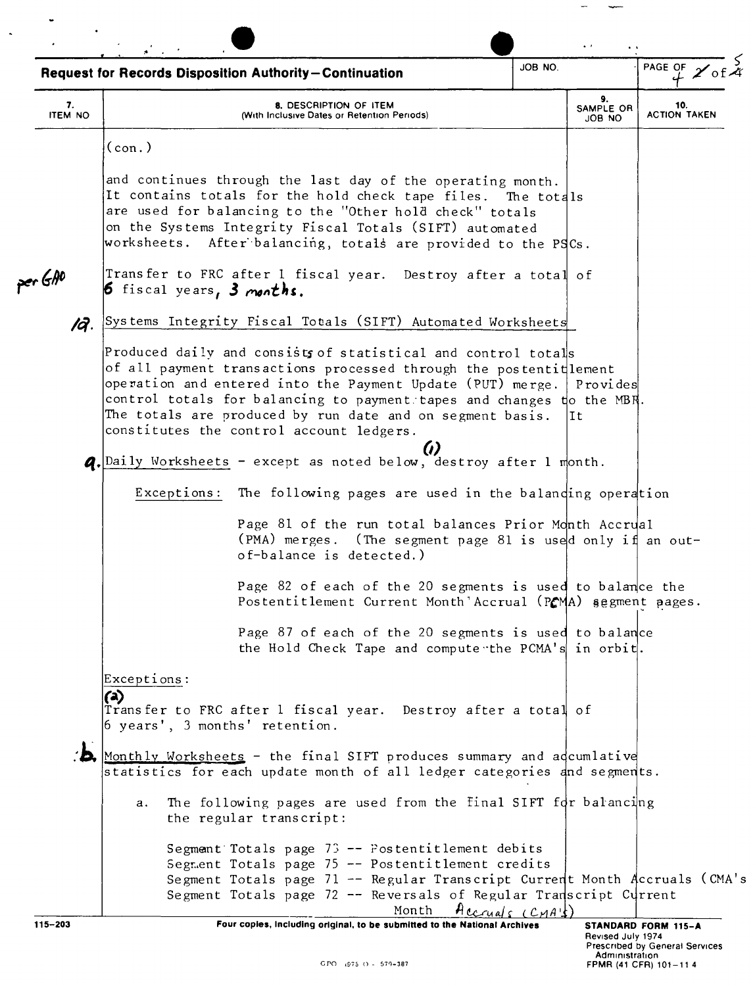|                      | <b>Request for Records Disposition Authority-Continuation</b>                                                                                                                                                                                                                                                                                                                               | JOB NO.    |                           | PAGE OF<br>$\chi$ of $\chi$ |
|----------------------|---------------------------------------------------------------------------------------------------------------------------------------------------------------------------------------------------------------------------------------------------------------------------------------------------------------------------------------------------------------------------------------------|------------|---------------------------|-----------------------------|
| 7.<br><b>ITEM NO</b> | <b>8. DESCRIPTION OF ITEM</b><br>(With Inclusive Dates or Retention Periods)                                                                                                                                                                                                                                                                                                                |            | 9.<br>SAMPLE OR<br>JOB NO | 10.<br><b>ACTION TAKEN</b>  |
|                      | $(\text{con.})$                                                                                                                                                                                                                                                                                                                                                                             |            |                           |                             |
|                      | and continues through the last day of the operating month.<br>It contains totals for the hold check tape files.<br>are used for balancing to the "Other hold check" totals<br>on the Systems Integrity Fiscal Totals (SIFT) automated<br>worksheets. After balancing, totals are provided to the PSCs.                                                                                      | The totals |                           |                             |
| per GAO              | Transfer to FRC after 1 fiscal year. Destroy after a total of<br>6 fiscal years, 3 months.                                                                                                                                                                                                                                                                                                  |            |                           |                             |
| 19.                  | Systems Integrity Fiscal Totals (SIFT) Automated Worksheets                                                                                                                                                                                                                                                                                                                                 |            |                           |                             |
|                      | Produced daily and consists of statistical and control totals<br>of all payment transactions processed through the postentitlement<br>operation and entered into the Payment Update (PUT) merge. Provides<br>control totals for balancing to payment tapes and changes do the MBR.<br>The totals are produced by run date and on segment basis.<br>constitutes the control account ledgers. |            | lIt                       |                             |
|                      | $\omega$<br><i>A</i> . Daily Worksheets - except as noted below, destroy after 1 month.                                                                                                                                                                                                                                                                                                     |            |                           |                             |
|                      | Exceptions:<br>The following pages are used in the balanding operation                                                                                                                                                                                                                                                                                                                      |            |                           |                             |
|                      | Page 81 of the run total balances Prior Month Accrual<br>(PMA) merges. (The segment page 81 is used only if an out-<br>of-balance is detected.)                                                                                                                                                                                                                                             |            |                           |                             |
|                      | Page 82 of each of the 20 segments is used to balance the<br>Postentitlement Current Month'Accrual (PCMA) segment pages.                                                                                                                                                                                                                                                                    |            |                           |                             |
|                      | Page 87 of each of the 20 segments is used to balance<br>the Hold Check Tape and compute the PCMA's in orbit.                                                                                                                                                                                                                                                                               |            |                           |                             |
|                      | Exceptions:<br>(a)<br>Transfer to FRC after 1 fiscal year. Destroy after a total of<br>$ 6 \text{ years}', 3 \text{ months}'$ retention.                                                                                                                                                                                                                                                    |            |                           |                             |
| $\mathbf{b}$         | Monthly Worksheets - the final SIFT produces summary and adcumlative<br>statistics for each update month of all ledger categories and segments.                                                                                                                                                                                                                                             |            |                           |                             |
|                      | The following pages are used from the final SIFT for balancing<br>a.<br>the regular transcript:                                                                                                                                                                                                                                                                                             |            |                           |                             |
|                      | Segment Totals page $73$ -- Postentitlement debits<br>Segment Totals page 75 -- Postentitlement credits<br>Segment Totals page 71 -- Regular Transcript Current Month Accruals (CMA's<br>Segment Totals page 72 -- Reversals of Regular Transcript Current                                                                                                                                  |            |                           |                             |

Month *tab* **Four copies**, Including original, to be submitted to the National Archives STANDARD FORM 115-203

 $\overline{\phantom{m}}$ لسبب

 $\ddot{\phantom{a}}$